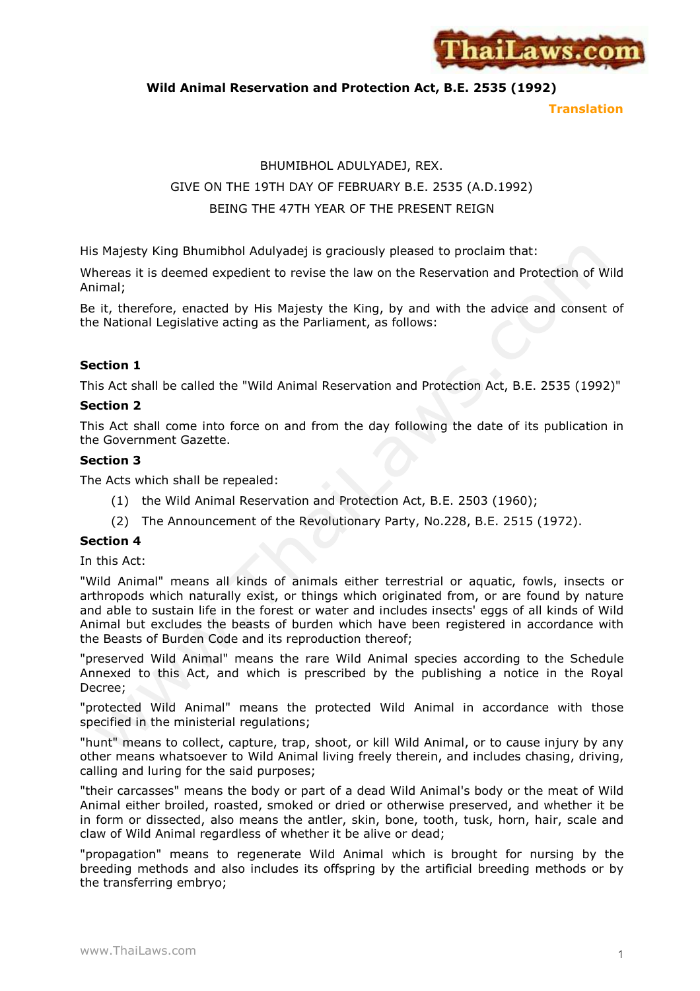

**Wild Animal Reservation and Protection Act, B.E. 2535 (1992)**

**Translation**

# BHUMIBHOL ADULYADEJ, REX. GIVE ON THE 19TH DAY OF FEBRUARY B.E. 2535 (A.D.1992) BEING THE 47TH YEAR OF THE PRESENT REIGN

His Majesty King Bhumibhol Adulyadej is graciously pleased to proclaim that:

Whereas it is deemed expedient to revise the law on the Reservation and Protection of Wild Animal;

Be it, therefore, enacted by His Majesty the King, by and with the advice and consent of the National Legislative acting as the Parliament, as follows:

# **Section 1**

This Act shall be called the "Wild Animal Reservation and Protection Act, B.E. 2535 (1992)"

# **Section 2**

This Act shall come into force on and from the day following the date of its publication in the Government Gazette.

# **Section 3**

The Acts which shall be repealed:

- (1) the Wild Animal Reservation and Protection Act, B.E. 2503 (1960);
- (2) The Announcement of the Revolutionary Party, No.228, B.E. 2515 (1972).

## **Section 4**

In this Act:

"Wild Animal" means all kinds of animals either terrestrial or aquatic, fowls, insects or arthropods which naturally exist, or things which originated from, or are found by nature and able to sustain life in the forest or water and includes insects' eggs of all kinds of Wild Animal but excludes the beasts of burden which have been registered in accordance with the Beasts of Burden Code and its reproduction thereof;

"preserved Wild Animal" means the rare Wild Animal species according to the Schedule Annexed to this Act, and which is prescribed by the publishing a notice in the Royal Decree;

"protected Wild Animal" means the protected Wild Animal in accordance with those specified in the ministerial regulations;

"hunt" means to collect, capture, trap, shoot, or kill Wild Animal, or to cause injury by any other means whatsoever to Wild Animal living freely therein, and includes chasing, driving, calling and luring for the said purposes;

"their carcasses" means the body or part of a dead Wild Animal's body or the meat of Wild Animal either broiled, roasted, smoked or dried or otherwise preserved, and whether it be in form or dissected, also means the antler, skin, bone, tooth, tusk, horn, hair, scale and claw of Wild Animal regardless of whether it be alive or dead;

"propagation" means to regenerate Wild Animal which is brought for nursing by the breeding methods and also includes its offspring by the artificial breeding methods or by the transferring embryo;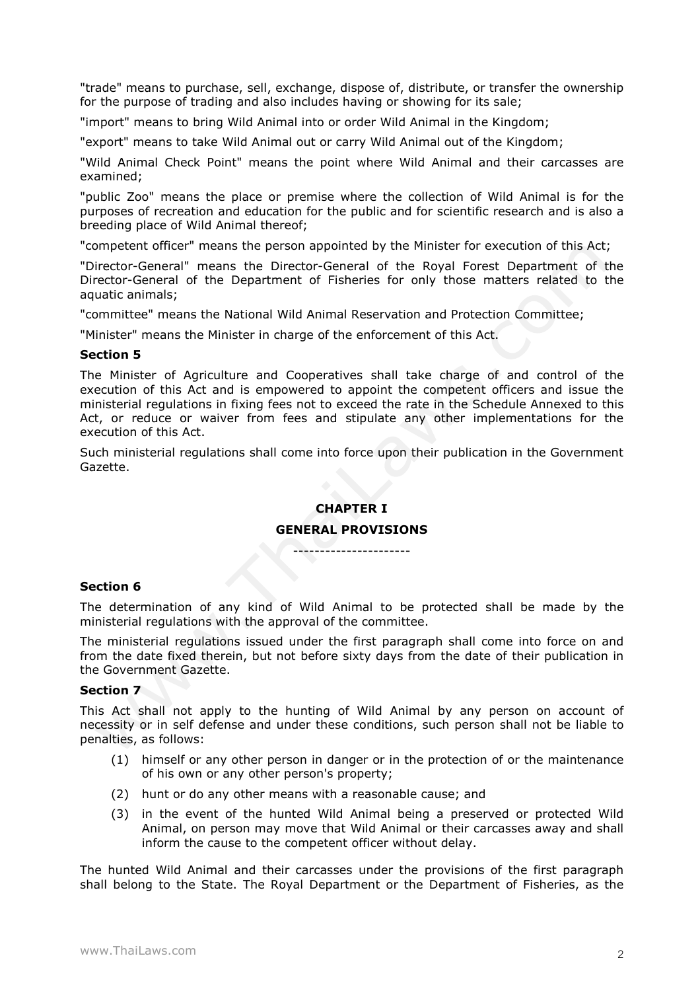"trade" means to purchase, sell, exchange, dispose of, distribute, or transfer the ownership for the purpose of trading and also includes having or showing for its sale;

"import" means to bring Wild Animal into or order Wild Animal in the Kingdom;

"export" means to take Wild Animal out or carry Wild Animal out of the Kingdom;

"Wild Animal Check Point" means the point where Wild Animal and their carcasses are examined;

"public Zoo" means the place or premise where the collection of Wild Animal is for the purposes of recreation and education for the public and for scientific research and is also a breeding place of Wild Animal thereof;

"competent officer" means the person appointed by the Minister for execution of this Act;

"Director-General" means the Director-General of the Royal Forest Department of the Director-General of the Department of Fisheries for only those matters related to the aquatic animals;

"committee" means the National Wild Animal Reservation and Protection Committee;

"Minister" means the Minister in charge of the enforcement of this Act.

#### **Section 5**

The Minister of Agriculture and Cooperatives shall take charge of and control of the execution of this Act and is empowered to appoint the competent officers and issue the ministerial regulations in fixing fees not to exceed the rate in the Schedule Annexed to this Act, or reduce or waiver from fees and stipulate any other implementations for the execution of this Act.

Such ministerial regulations shall come into force upon their publication in the Government Gazette.

## **CHAPTER I**

#### **GENERAL PROVISIONS**

----------------------

## **Section 6**

The determination of any kind of Wild Animal to be protected shall be made by the ministerial regulations with the approval of the committee.

The ministerial regulations issued under the first paragraph shall come into force on and from the date fixed therein, but not before sixty days from the date of their publication in the Government Gazette.

#### **Section 7**

This Act shall not apply to the hunting of Wild Animal by any person on account of necessity or in self defense and under these conditions, such person shall not be liable to penalties, as follows:

- (1) himself or any other person in danger or in the protection of or the maintenance of his own or any other person's property;
- (2) hunt or do any other means with a reasonable cause; and
- (3) in the event of the hunted Wild Animal being a preserved or protected Wild Animal, on person may move that Wild Animal or their carcasses away and shall inform the cause to the competent officer without delay.

The hunted Wild Animal and their carcasses under the provisions of the first paragraph shall belong to the State. The Royal Department or the Department of Fisheries, as the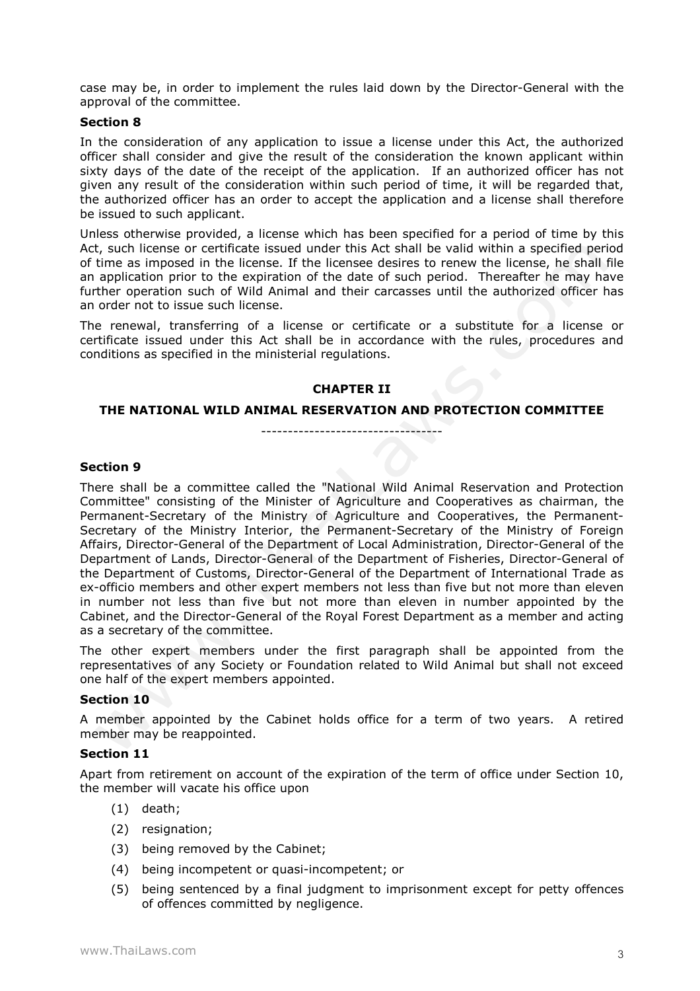case may be, in order to implement the rules laid down by the Director-General with the approval of the committee.

## **Section 8**

In the consideration of any application to issue a license under this Act, the authorized officer shall consider and give the result of the consideration the known applicant within sixty days of the date of the receipt of the application. If an authorized officer has not given any result of the consideration within such period of time, it will be regarded that, the authorized officer has an order to accept the application and a license shall therefore be issued to such applicant.

Unless otherwise provided, a license which has been specified for a period of time by this Act, such license or certificate issued under this Act shall be valid within a specified period of time as imposed in the license. If the licensee desires to renew the license, he shall file an application prior to the expiration of the date of such period. Thereafter he may have further operation such of Wild Animal and their carcasses until the authorized officer has an order not to issue such license.

The renewal, transferring of a license or certificate or a substitute for a license or certificate issued under this Act shall be in accordance with the rules, procedures and conditions as specified in the ministerial regulations.

## **CHAPTER II**

#### **THE NATIONAL WILD ANIMAL RESERVATION AND PROTECTION COMMITTEE**

------------------------------------

## **Section 9**

There shall be a committee called the "National Wild Animal Reservation and Protection Committee" consisting of the Minister of Agriculture and Cooperatives as chairman, the Permanent-Secretary of the Ministry of Agriculture and Cooperatives, the Permanent-Secretary of the Ministry Interior, the Permanent-Secretary of the Ministry of Foreign Affairs, Director-General of the Department of Local Administration, Director-General of the Department of Lands, Director-General of the Department of Fisheries, Director-General of the Department of Customs, Director-General of the Department of International Trade as ex-officio members and other expert members not less than five but not more than eleven in number not less than five but not more than eleven in number appointed by the Cabinet, and the Director-General of the Royal Forest Department as a member and acting as a secretary of the committee.

The other expert members under the first paragraph shall be appointed from the representatives of any Society or Foundation related to Wild Animal but shall not exceed one half of the expert members appointed.

## **Section 10**

A member appointed by the Cabinet holds office for a term of two years. A retired member may be reappointed.

## **Section 11**

Apart from retirement on account of the expiration of the term of office under Section 10, the member will vacate his office upon

- (1) death;
- (2) resignation;
- (3) being removed by the Cabinet;
- (4) being incompetent or quasi-incompetent; or
- (5) being sentenced by a final judgment to imprisonment except for petty offences of offences committed by negligence.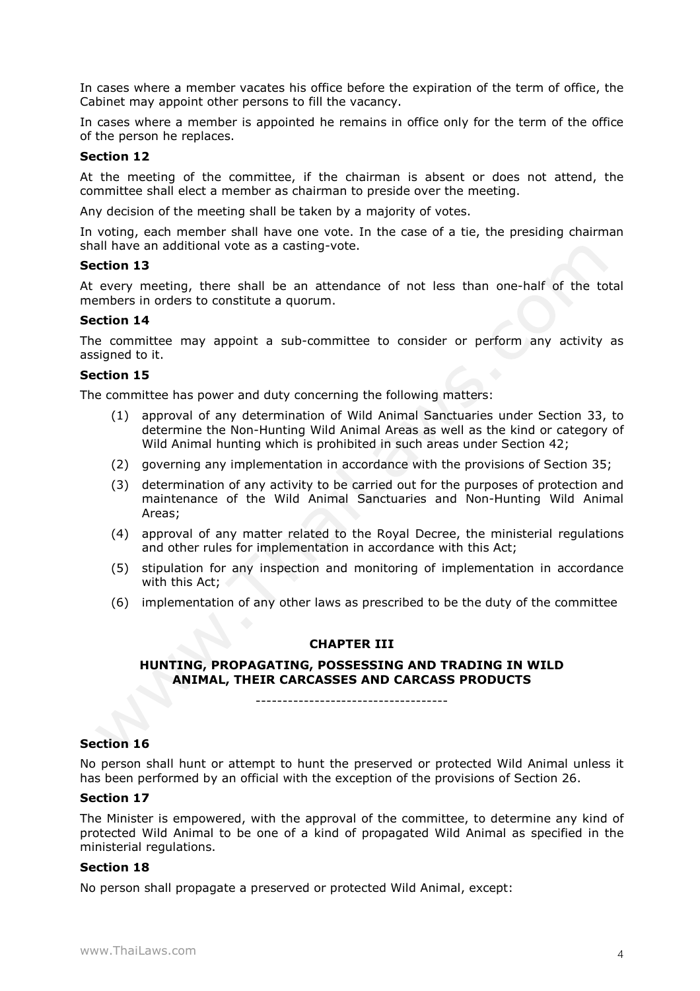In cases where a member vacates his office before the expiration of the term of office, the Cabinet may appoint other persons to fill the vacancy.

In cases where a member is appointed he remains in office only for the term of the office of the person he replaces.

#### **Section 12**

At the meeting of the committee, if the chairman is absent or does not attend, the committee shall elect a member as chairman to preside over the meeting.

Any decision of the meeting shall be taken by a majority of votes.

In voting, each member shall have one vote. In the case of a tie, the presiding chairman shall have an additional vote as a casting-vote.

#### **Section 13**

At every meeting, there shall be an attendance of not less than one-half of the total members in orders to constitute a quorum.

## **Section 14**

The committee may appoint a sub-committee to consider or perform any activity as assigned to it.

#### **Section 15**

The committee has power and duty concerning the following matters:

- (1) approval of any determination of Wild Animal Sanctuaries under Section 33, to determine the Non-Hunting Wild Animal Areas as well as the kind or category of Wild Animal hunting which is prohibited in such areas under Section 42;
- (2) governing any implementation in accordance with the provisions of Section 35;
- (3) determination of any activity to be carried out for the purposes of protection and maintenance of the Wild Animal Sanctuaries and Non-Hunting Wild Animal Areas;
- (4) approval of any matter related to the Royal Decree, the ministerial regulations and other rules for implementation in accordance with this Act;
- (5) stipulation for any inspection and monitoring of implementation in accordance with this Act;
- (6) implementation of any other laws as prescribed to be the duty of the committee

#### **CHAPTER III**

## **HUNTING, PROPAGATING, POSSESSING AND TRADING IN WILD ANIMAL, THEIR CARCASSES AND CARCASS PRODUCTS**

------------------------------------

#### **Section 16**

No person shall hunt or attempt to hunt the preserved or protected Wild Animal unless it has been performed by an official with the exception of the provisions of Section 26.

# **Section 17**

The Minister is empowered, with the approval of the committee, to determine any kind of protected Wild Animal to be one of a kind of propagated Wild Animal as specified in the ministerial regulations.

#### **Section 18**

No person shall propagate a preserved or protected Wild Animal, except: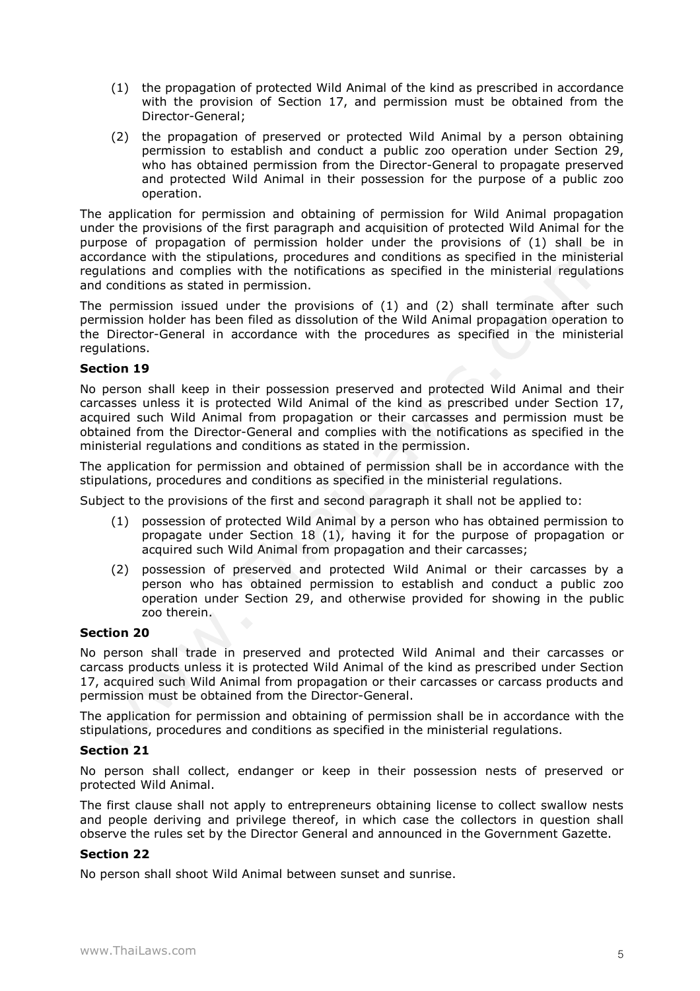- (1) the propagation of protected Wild Animal of the kind as prescribed in accordance with the provision of Section 17, and permission must be obtained from the Director-General;
- (2) the propagation of preserved or protected Wild Animal by a person obtaining permission to establish and conduct a public zoo operation under Section 29, who has obtained permission from the Director-General to propagate preserved and protected Wild Animal in their possession for the purpose of a public zoo operation.

The application for permission and obtaining of permission for Wild Animal propagation under the provisions of the first paragraph and acquisition of protected Wild Animal for the purpose of propagation of permission holder under the provisions of (1) shall be in accordance with the stipulations, procedures and conditions as specified in the ministerial regulations and complies with the notifications as specified in the ministerial regulations and conditions as stated in permission.

The permission issued under the provisions of (1) and (2) shall terminate after such permission holder has been filed as dissolution of the Wild Animal propagation operation to the Director-General in accordance with the procedures as specified in the ministerial regulations.

## **Section 19**

No person shall keep in their possession preserved and protected Wild Animal and their carcasses unless it is protected Wild Animal of the kind as prescribed under Section 17, acquired such Wild Animal from propagation or their carcasses and permission must be obtained from the Director-General and complies with the notifications as specified in the ministerial regulations and conditions as stated in the permission.

The application for permission and obtained of permission shall be in accordance with the stipulations, procedures and conditions as specified in the ministerial regulations.

Subject to the provisions of the first and second paragraph it shall not be applied to:

- (1) possession of protected Wild Animal by a person who has obtained permission to propagate under Section 18 (1), having it for the purpose of propagation or acquired such Wild Animal from propagation and their carcasses;
- (2) possession of preserved and protected Wild Animal or their carcasses by a person who has obtained permission to establish and conduct a public zoo operation under Section 29, and otherwise provided for showing in the public zoo therein.

## **Section 20**

No person shall trade in preserved and protected Wild Animal and their carcasses or carcass products unless it is protected Wild Animal of the kind as prescribed under Section 17, acquired such Wild Animal from propagation or their carcasses or carcass products and permission must be obtained from the Director-General.

The application for permission and obtaining of permission shall be in accordance with the stipulations, procedures and conditions as specified in the ministerial regulations.

## **Section 21**

No person shall collect, endanger or keep in their possession nests of preserved or protected Wild Animal.

The first clause shall not apply to entrepreneurs obtaining license to collect swallow nests and people deriving and privilege thereof, in which case the collectors in question shall observe the rules set by the Director General and announced in the Government Gazette.

## **Section 22**

No person shall shoot Wild Animal between sunset and sunrise.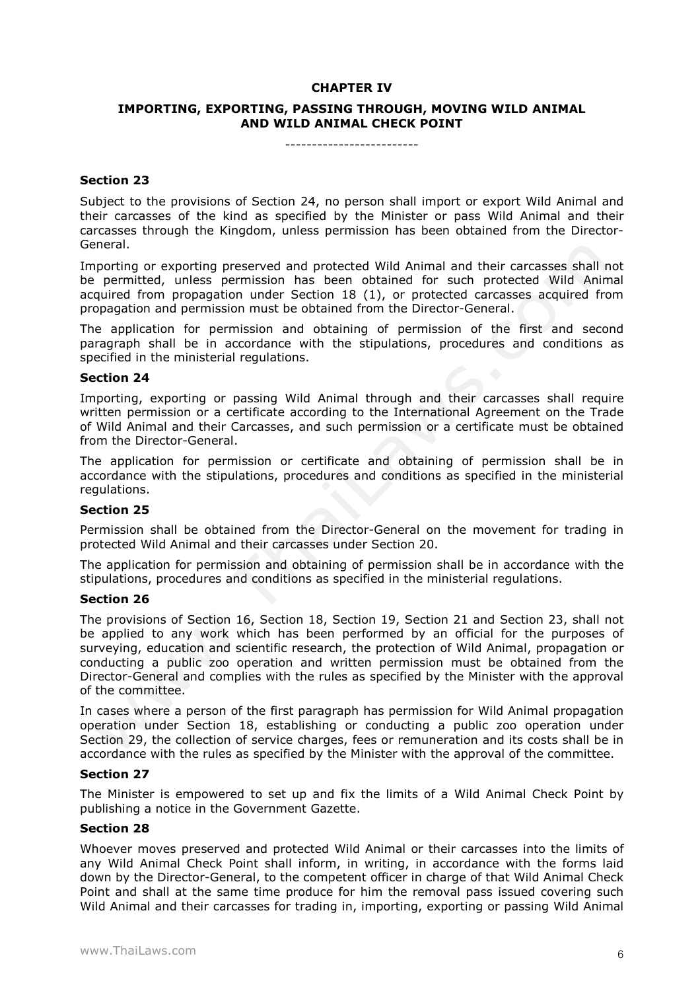# **CHAPTER IV**

# **IMPORTING, EXPORTING, PASSING THROUGH, MOVING WILD ANIMAL AND WILD ANIMAL CHECK POINT**

## **Section 23**

Subject to the provisions of Section 24, no person shall import or export Wild Animal and their carcasses of the kind as specified by the Minister or pass Wild Animal and their carcasses through the Kingdom, unless permission has been obtained from the Director-General.

Importing or exporting preserved and protected Wild Animal and their carcasses shall not be permitted, unless permission has been obtained for such protected Wild Animal acquired from propagation under Section 18 (1), or protected carcasses acquired from propagation and permission must be obtained from the Director-General.

The application for permission and obtaining of permission of the first and second paragraph shall be in accordance with the stipulations, procedures and conditions as specified in the ministerial regulations.

## **Section 24**

Importing, exporting or passing Wild Animal through and their carcasses shall require written permission or a certificate according to the International Agreement on the Trade of Wild Animal and their Carcasses, and such permission or a certificate must be obtained from the Director-General.

The application for permission or certificate and obtaining of permission shall be in accordance with the stipulations, procedures and conditions as specified in the ministerial regulations.

## **Section 25**

Permission shall be obtained from the Director-General on the movement for trading in protected Wild Animal and their carcasses under Section 20.

The application for permission and obtaining of permission shall be in accordance with the stipulations, procedures and conditions as specified in the ministerial regulations.

## **Section 26**

The provisions of Section 16, Section 18, Section 19, Section 21 and Section 23, shall not be applied to any work which has been performed by an official for the purposes of surveying, education and scientific research, the protection of Wild Animal, propagation or conducting a public zoo operation and written permission must be obtained from the Director-General and complies with the rules as specified by the Minister with the approval of the committee.

In cases where a person of the first paragraph has permission for Wild Animal propagation operation under Section 18, establishing or conducting a public zoo operation under Section 29, the collection of service charges, fees or remuneration and its costs shall be in accordance with the rules as specified by the Minister with the approval of the committee.

## **Section 27**

The Minister is empowered to set up and fix the limits of a Wild Animal Check Point by publishing a notice in the Government Gazette.

# **Section 28**

Whoever moves preserved and protected Wild Animal or their carcasses into the limits of any Wild Animal Check Point shall inform, in writing, in accordance with the forms laid down by the Director-General, to the competent officer in charge of that Wild Animal Check Point and shall at the same time produce for him the removal pass issued covering such Wild Animal and their carcasses for trading in, importing, exporting or passing Wild Animal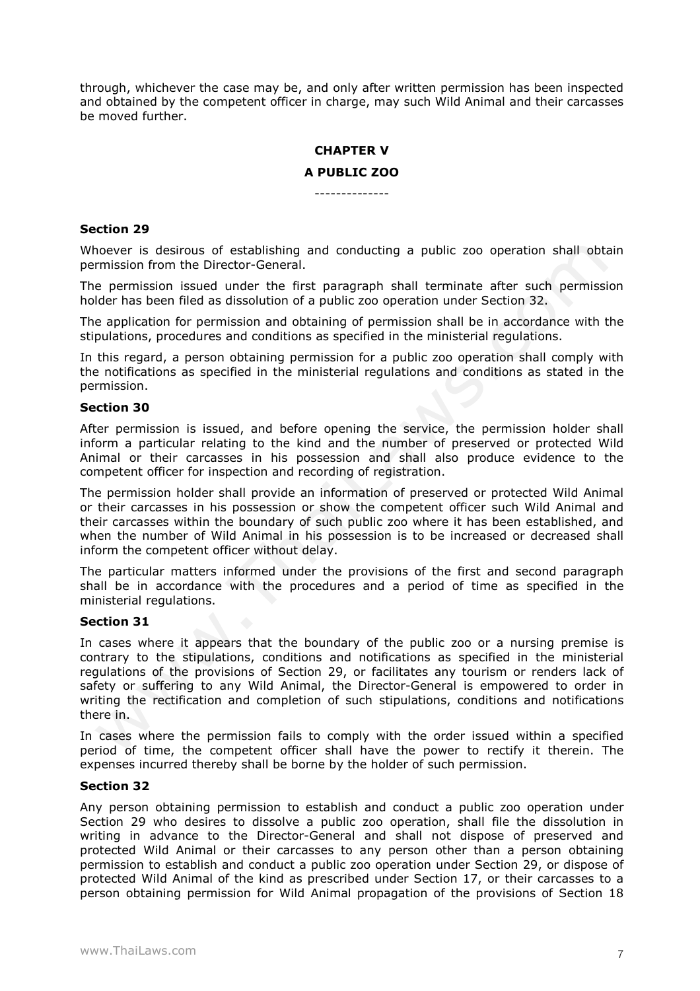through, whichever the case may be, and only after written permission has been inspected and obtained by the competent officer in charge, may such Wild Animal and their carcasses be moved further.

# **CHAPTER V A PUBLIC ZOO**

--------------

#### **Section 29**

Whoever is desirous of establishing and conducting a public zoo operation shall obtain permission from the Director-General.

The permission issued under the first paragraph shall terminate after such permission holder has been filed as dissolution of a public zoo operation under Section 32.

The application for permission and obtaining of permission shall be in accordance with the stipulations, procedures and conditions as specified in the ministerial regulations.

In this regard, a person obtaining permission for a public zoo operation shall comply with the notifications as specified in the ministerial regulations and conditions as stated in the permission.

#### **Section 30**

After permission is issued, and before opening the service, the permission holder shall inform a particular relating to the kind and the number of preserved or protected Wild Animal or their carcasses in his possession and shall also produce evidence to the competent officer for inspection and recording of registration.

The permission holder shall provide an information of preserved or protected Wild Animal or their carcasses in his possession or show the competent officer such Wild Animal and their carcasses within the boundary of such public zoo where it has been established, and when the number of Wild Animal in his possession is to be increased or decreased shall inform the competent officer without delay.

The particular matters informed under the provisions of the first and second paragraph shall be in accordance with the procedures and a period of time as specified in the ministerial regulations.

#### **Section 31**

In cases where it appears that the boundary of the public zoo or a nursing premise is contrary to the stipulations, conditions and notifications as specified in the ministerial regulations of the provisions of Section 29, or facilitates any tourism or renders lack of safety or suffering to any Wild Animal, the Director-General is empowered to order in writing the rectification and completion of such stipulations, conditions and notifications there in.

In cases where the permission fails to comply with the order issued within a specified period of time, the competent officer shall have the power to rectify it therein. The expenses incurred thereby shall be borne by the holder of such permission.

#### **Section 32**

Any person obtaining permission to establish and conduct a public zoo operation under Section 29 who desires to dissolve a public zoo operation, shall file the dissolution in writing in advance to the Director-General and shall not dispose of preserved and protected Wild Animal or their carcasses to any person other than a person obtaining permission to establish and conduct a public zoo operation under Section 29, or dispose of protected Wild Animal of the kind as prescribed under Section 17, or their carcasses to a person obtaining permission for Wild Animal propagation of the provisions of Section 18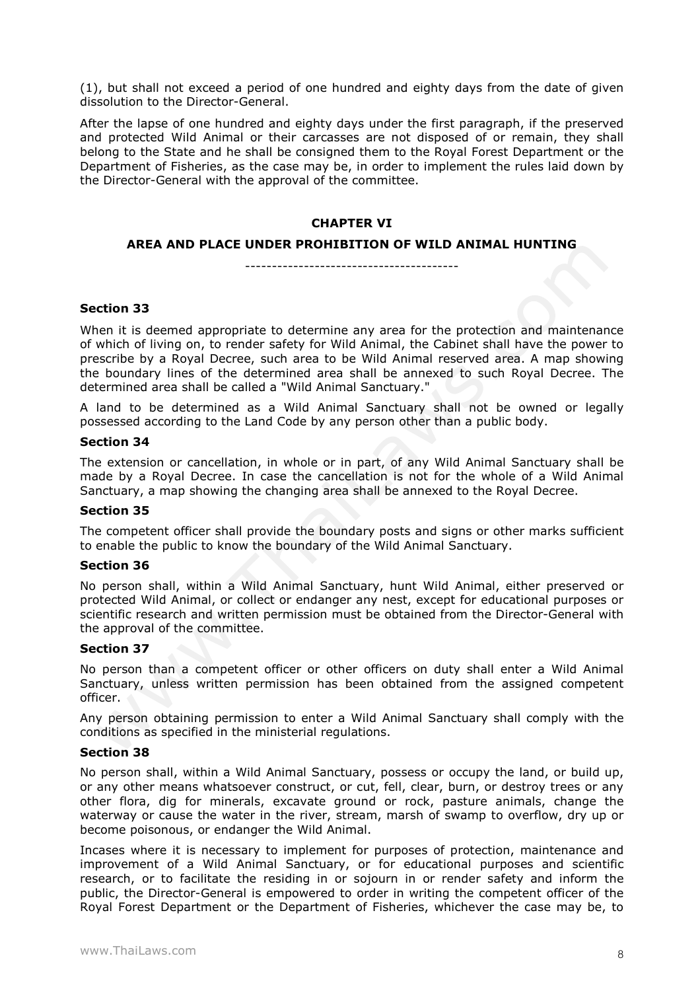(1), but shall not exceed a period of one hundred and eighty days from the date of given dissolution to the Director-General.

After the lapse of one hundred and eighty days under the first paragraph, if the preserved and protected Wild Animal or their carcasses are not disposed of or remain, they shall belong to the State and he shall be consigned them to the Royal Forest Department or the Department of Fisheries, as the case may be, in order to implement the rules laid down by the Director-General with the approval of the committee.

## **CHAPTER VI**

#### **AREA AND PLACE UNDER PROHIBITION OF WILD ANIMAL HUNTING**

----------------------------------------

## **Section 33**

When it is deemed appropriate to determine any area for the protection and maintenance of which of living on, to render safety for Wild Animal, the Cabinet shall have the power to prescribe by a Royal Decree, such area to be Wild Animal reserved area. A map showing the boundary lines of the determined area shall be annexed to such Royal Decree. The determined area shall be called a "Wild Animal Sanctuary."

A land to be determined as a Wild Animal Sanctuary shall not be owned or legally possessed according to the Land Code by any person other than a public body.

#### **Section 34**

The extension or cancellation, in whole or in part, of any Wild Animal Sanctuary shall be made by a Royal Decree. In case the cancellation is not for the whole of a Wild Animal Sanctuary, a map showing the changing area shall be annexed to the Royal Decree.

#### **Section 35**

The competent officer shall provide the boundary posts and signs or other marks sufficient to enable the public to know the boundary of the Wild Animal Sanctuary.

## **Section 36**

No person shall, within a Wild Animal Sanctuary, hunt Wild Animal, either preserved or protected Wild Animal, or collect or endanger any nest, except for educational purposes or scientific research and written permission must be obtained from the Director-General with the approval of the committee.

## **Section 37**

No person than a competent officer or other officers on duty shall enter a Wild Animal Sanctuary, unless written permission has been obtained from the assigned competent officer.

Any person obtaining permission to enter a Wild Animal Sanctuary shall comply with the conditions as specified in the ministerial regulations.

## **Section 38**

No person shall, within a Wild Animal Sanctuary, possess or occupy the land, or build up, or any other means whatsoever construct, or cut, fell, clear, burn, or destroy trees or any other flora, dig for minerals, excavate ground or rock, pasture animals, change the waterway or cause the water in the river, stream, marsh of swamp to overflow, dry up or become poisonous, or endanger the Wild Animal.

Incases where it is necessary to implement for purposes of protection, maintenance and improvement of a Wild Animal Sanctuary, or for educational purposes and scientific research, or to facilitate the residing in or sojourn in or render safety and inform the public, the Director-General is empowered to order in writing the competent officer of the Royal Forest Department or the Department of Fisheries, whichever the case may be, to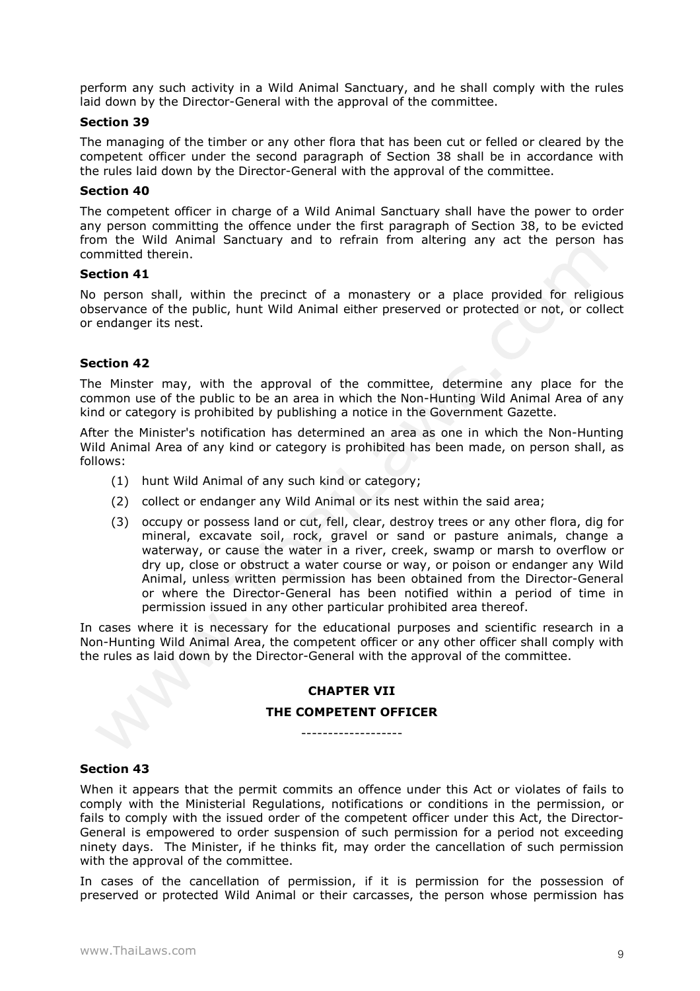perform any such activity in a Wild Animal Sanctuary, and he shall comply with the rules laid down by the Director-General with the approval of the committee.

#### **Section 39**

The managing of the timber or any other flora that has been cut or felled or cleared by the competent officer under the second paragraph of Section 38 shall be in accordance with the rules laid down by the Director-General with the approval of the committee.

#### **Section 40**

The competent officer in charge of a Wild Animal Sanctuary shall have the power to order any person committing the offence under the first paragraph of Section 38, to be evicted from the Wild Animal Sanctuary and to refrain from altering any act the person has committed therein.

#### **Section 41**

No person shall, within the precinct of a monastery or a place provided for religious observance of the public, hunt Wild Animal either preserved or protected or not, or collect or endanger its nest.

# **Section 42**

The Minster may, with the approval of the committee, determine any place for the common use of the public to be an area in which the Non-Hunting Wild Animal Area of any kind or category is prohibited by publishing a notice in the Government Gazette.

After the Minister's notification has determined an area as one in which the Non-Hunting Wild Animal Area of any kind or category is prohibited has been made, on person shall, as follows:

- (1) hunt Wild Animal of any such kind or category;
- (2) collect or endanger any Wild Animal or its nest within the said area;
- (3) occupy or possess land or cut, fell, clear, destroy trees or any other flora, dig for mineral, excavate soil, rock, gravel or sand or pasture animals, change a waterway, or cause the water in a river, creek, swamp or marsh to overflow or dry up, close or obstruct a water course or way, or poison or endanger any Wild Animal, unless written permission has been obtained from the Director-General or where the Director-General has been notified within a period of time in permission issued in any other particular prohibited area thereof.

In cases where it is necessary for the educational purposes and scientific research in a Non-Hunting Wild Animal Area, the competent officer or any other officer shall comply with the rules as laid down by the Director-General with the approval of the committee.

# **CHAPTER VII**

## **THE COMPETENT OFFICER** -------------------

#### **Section 43**

When it appears that the permit commits an offence under this Act or violates of fails to comply with the Ministerial Regulations, notifications or conditions in the permission, or fails to comply with the issued order of the competent officer under this Act, the Director-General is empowered to order suspension of such permission for a period not exceeding ninety days. The Minister, if he thinks fit, may order the cancellation of such permission with the approval of the committee.

In cases of the cancellation of permission, if it is permission for the possession of preserved or protected Wild Animal or their carcasses, the person whose permission has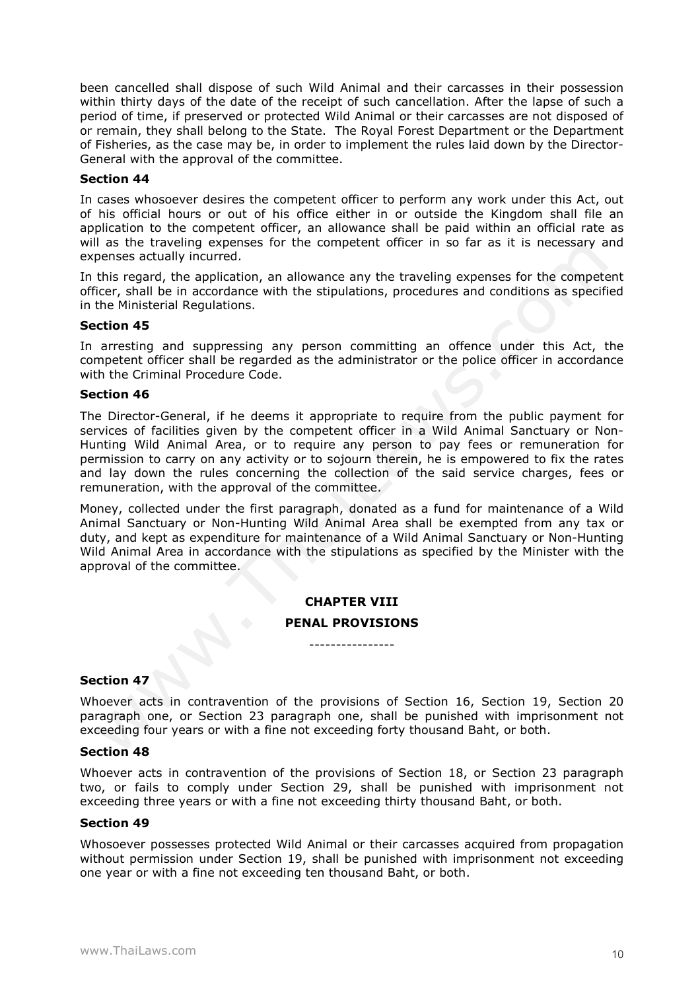been cancelled shall dispose of such Wild Animal and their carcasses in their possession within thirty days of the date of the receipt of such cancellation. After the lapse of such a period of time, if preserved or protected Wild Animal or their carcasses are not disposed of or remain, they shall belong to the State. The Royal Forest Department or the Department of Fisheries, as the case may be, in order to implement the rules laid down by the Director-General with the approval of the committee.

#### **Section 44**

In cases whosoever desires the competent officer to perform any work under this Act, out of his official hours or out of his office either in or outside the Kingdom shall file an application to the competent officer, an allowance shall be paid within an official rate as will as the traveling expenses for the competent officer in so far as it is necessary and expenses actually incurred.

In this regard, the application, an allowance any the traveling expenses for the competent officer, shall be in accordance with the stipulations, procedures and conditions as specified in the Ministerial Regulations.

#### **Section 45**

In arresting and suppressing any person committing an offence under this Act, the competent officer shall be regarded as the administrator or the police officer in accordance with the Criminal Procedure Code.

#### **Section 46**

The Director-General, if he deems it appropriate to require from the public payment for services of facilities given by the competent officer in a Wild Animal Sanctuary or Non-Hunting Wild Animal Area, or to require any person to pay fees or remuneration for permission to carry on any activity or to sojourn therein, he is empowered to fix the rates and lay down the rules concerning the collection of the said service charges, fees or remuneration, with the approval of the committee.

Money, collected under the first paragraph, donated as a fund for maintenance of a Wild Animal Sanctuary or Non-Hunting Wild Animal Area shall be exempted from any tax or duty, and kept as expenditure for maintenance of a Wild Animal Sanctuary or Non-Hunting Wild Animal Area in accordance with the stipulations as specified by the Minister with the approval of the committee.

# **CHAPTER VIII**

# **PENAL PROVISIONS** ----------------

**Section 47**

Whoever acts in contravention of the provisions of Section 16, Section 19, Section 20 paragraph one, or Section 23 paragraph one, shall be punished with imprisonment not exceeding four years or with a fine not exceeding forty thousand Baht, or both.

## **Section 48**

Whoever acts in contravention of the provisions of Section 18, or Section 23 paragraph two, or fails to comply under Section 29, shall be punished with imprisonment not exceeding three years or with a fine not exceeding thirty thousand Baht, or both.

#### **Section 49**

Whosoever possesses protected Wild Animal or their carcasses acquired from propagation without permission under Section 19, shall be punished with imprisonment not exceeding one year or with a fine not exceeding ten thousand Baht, or both.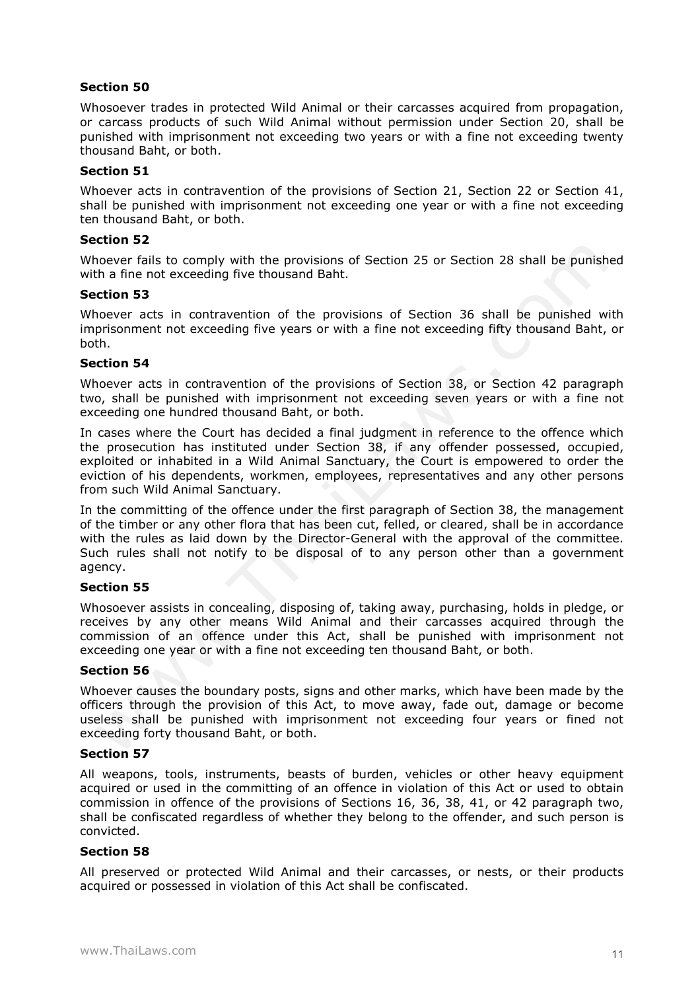# **Section 50**

Whosoever trades in protected Wild Animal or their carcasses acquired from propagation, or carcass products of such Wild Animal without permission under Section 20, shall be punished with imprisonment not exceeding two years or with a fine not exceeding twenty thousand Baht, or both.

## **Section 51**

Whoever acts in contravention of the provisions of Section 21, Section 22 or Section 41, shall be punished with imprisonment not exceeding one year or with a fine not exceeding ten thousand Baht, or both.

## **Section 52**

Whoever fails to comply with the provisions of Section 25 or Section 28 shall be punished with a fine not exceeding five thousand Baht.

## **Section 53**

Whoever acts in contravention of the provisions of Section 36 shall be punished with imprisonment not exceeding five years or with a fine not exceeding fifty thousand Baht, or both.

# **Section 54**

Whoever acts in contravention of the provisions of Section 38, or Section 42 paragraph two, shall be punished with imprisonment not exceeding seven years or with a fine not exceeding one hundred thousand Baht, or both.

In cases where the Court has decided a final judgment in reference to the offence which the prosecution has instituted under Section 38, if any offender possessed, occupied, exploited or inhabited in a Wild Animal Sanctuary, the Court is empowered to order the eviction of his dependents, workmen, employees, representatives and any other persons from such Wild Animal Sanctuary.

In the committing of the offence under the first paragraph of Section 38, the management of the timber or any other flora that has been cut, felled, or cleared, shall be in accordance with the rules as laid down by the Director-General with the approval of the committee. Such rules shall not notify to be disposal of to any person other than a government agency.

# **Section 55**

Whosoever assists in concealing, disposing of, taking away, purchasing, holds in pledge, or receives by any other means Wild Animal and their carcasses acquired through the commission of an offence under this Act, shall be punished with imprisonment not exceeding one year or with a fine not exceeding ten thousand Baht, or both.

## **Section 56**

Whoever causes the boundary posts, signs and other marks, which have been made by the officers through the provision of this Act, to move away, fade out, damage or become useless shall be punished with imprisonment not exceeding four years or fined not exceeding forty thousand Baht, or both.

## **Section 57**

All weapons, tools, instruments, beasts of burden, vehicles or other heavy equipment acquired or used in the committing of an offence in violation of this Act or used to obtain commission in offence of the provisions of Sections 16, 36, 38, 41, or 42 paragraph two, shall be confiscated regardless of whether they belong to the offender, and such person is convicted.

## **Section 58**

All preserved or protected Wild Animal and their carcasses, or nests, or their products acquired or possessed in violation of this Act shall be confiscated.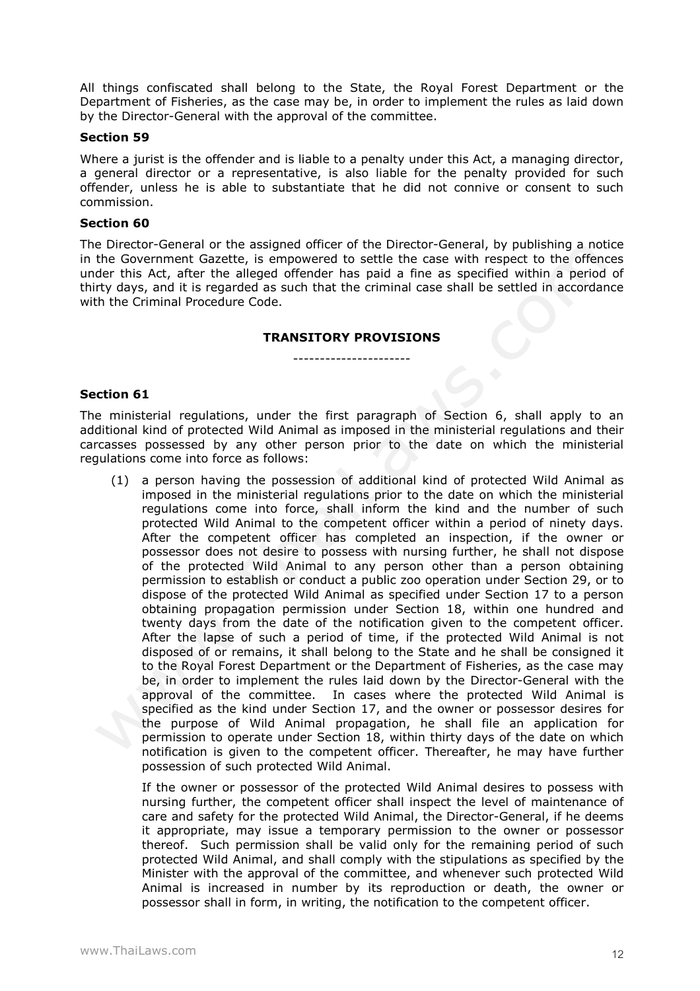All things confiscated shall belong to the State, the Royal Forest Department or the Department of Fisheries, as the case may be, in order to implement the rules as laid down by the Director-General with the approval of the committee.

## **Section 59**

Where a jurist is the offender and is liable to a penalty under this Act, a managing director, a general director or a representative, is also liable for the penalty provided for such offender, unless he is able to substantiate that he did not connive or consent to such commission.

#### **Section 60**

The Director-General or the assigned officer of the Director-General, by publishing a notice in the Government Gazette, is empowered to settle the case with respect to the offences under this Act, after the alleged offender has paid a fine as specified within a period of thirty days, and it is regarded as such that the criminal case shall be settled in accordance with the Criminal Procedure Code.

# **TRANSITORY PROVISIONS** ----------------------

#### **Section 61**

The ministerial regulations, under the first paragraph of Section 6, shall apply to an additional kind of protected Wild Animal as imposed in the ministerial regulations and their carcasses possessed by any other person prior to the date on which the ministerial regulations come into force as follows:

(1) a person having the possession of additional kind of protected Wild Animal as imposed in the ministerial regulations prior to the date on which the ministerial regulations come into force, shall inform the kind and the number of such protected Wild Animal to the competent officer within a period of ninety days. After the competent officer has completed an inspection, if the owner or possessor does not desire to possess with nursing further, he shall not dispose of the protected Wild Animal to any person other than a person obtaining permission to establish or conduct a public zoo operation under Section 29, or to dispose of the protected Wild Animal as specified under Section 17 to a person obtaining propagation permission under Section 18, within one hundred and twenty days from the date of the notification given to the competent officer. After the lapse of such a period of time, if the protected Wild Animal is not disposed of or remains, it shall belong to the State and he shall be consigned it to the Royal Forest Department or the Department of Fisheries, as the case may be, in order to implement the rules laid down by the Director-General with the approval of the committee. In cases where the protected Wild Animal is specified as the kind under Section 17, and the owner or possessor desires for the purpose of Wild Animal propagation, he shall file an application for permission to operate under Section 18, within thirty days of the date on which notification is given to the competent officer. Thereafter, he may have further possession of such protected Wild Animal.

If the owner or possessor of the protected Wild Animal desires to possess with nursing further, the competent officer shall inspect the level of maintenance of care and safety for the protected Wild Animal, the Director-General, if he deems it appropriate, may issue a temporary permission to the owner or possessor thereof. Such permission shall be valid only for the remaining period of such protected Wild Animal, and shall comply with the stipulations as specified by the Minister with the approval of the committee, and whenever such protected Wild Animal is increased in number by its reproduction or death, the owner or possessor shall in form, in writing, the notification to the competent officer.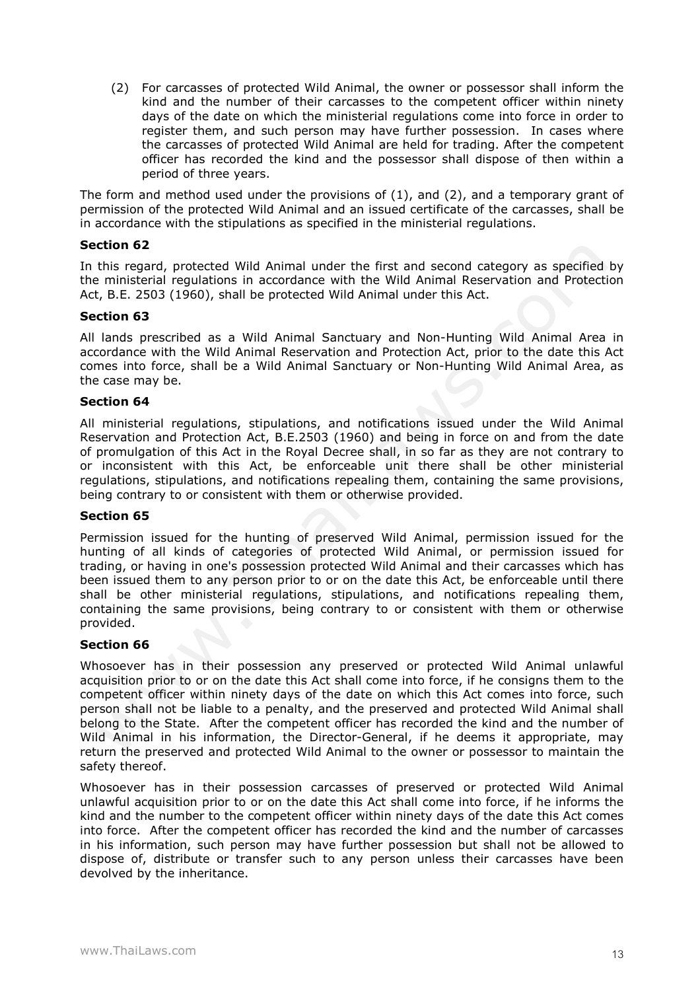(2) For carcasses of protected Wild Animal, the owner or possessor shall inform the kind and the number of their carcasses to the competent officer within ninety days of the date on which the ministerial regulations come into force in order to register them, and such person may have further possession. In cases where the carcasses of protected Wild Animal are held for trading. After the competent officer has recorded the kind and the possessor shall dispose of then within a period of three years.

The form and method used under the provisions of  $(1)$ , and  $(2)$ , and a temporary grant of permission of the protected Wild Animal and an issued certificate of the carcasses, shall be in accordance with the stipulations as specified in the ministerial regulations.

## **Section 62**

In this regard, protected Wild Animal under the first and second category as specified by the ministerial regulations in accordance with the Wild Animal Reservation and Protection Act, B.E. 2503 (1960), shall be protected Wild Animal under this Act.

# **Section 63**

All lands prescribed as a Wild Animal Sanctuary and Non-Hunting Wild Animal Area in accordance with the Wild Animal Reservation and Protection Act, prior to the date this Act comes into force, shall be a Wild Animal Sanctuary or Non-Hunting Wild Animal Area, as the case may be.

# **Section 64**

All ministerial regulations, stipulations, and notifications issued under the Wild Animal Reservation and Protection Act, B.E.2503 (1960) and being in force on and from the date of promulgation of this Act in the Royal Decree shall, in so far as they are not contrary to or inconsistent with this Act, be enforceable unit there shall be other ministerial regulations, stipulations, and notifications repealing them, containing the same provisions, being contrary to or consistent with them or otherwise provided.

## **Section 65**

Permission issued for the hunting of preserved Wild Animal, permission issued for the hunting of all kinds of categories of protected Wild Animal, or permission issued for trading, or having in one's possession protected Wild Animal and their carcasses which has been issued them to any person prior to or on the date this Act, be enforceable until there shall be other ministerial regulations, stipulations, and notifications repealing them, containing the same provisions, being contrary to or consistent with them or otherwise provided.

## **Section 66**

Whosoever has in their possession any preserved or protected Wild Animal unlawful acquisition prior to or on the date this Act shall come into force, if he consigns them to the competent officer within ninety days of the date on which this Act comes into force, such person shall not be liable to a penalty, and the preserved and protected Wild Animal shall belong to the State. After the competent officer has recorded the kind and the number of Wild Animal in his information, the Director-General, if he deems it appropriate, may return the preserved and protected Wild Animal to the owner or possessor to maintain the safety thereof.

Whosoever has in their possession carcasses of preserved or protected Wild Animal unlawful acquisition prior to or on the date this Act shall come into force, if he informs the kind and the number to the competent officer within ninety days of the date this Act comes into force. After the competent officer has recorded the kind and the number of carcasses in his information, such person may have further possession but shall not be allowed to dispose of, distribute or transfer such to any person unless their carcasses have been devolved by the inheritance.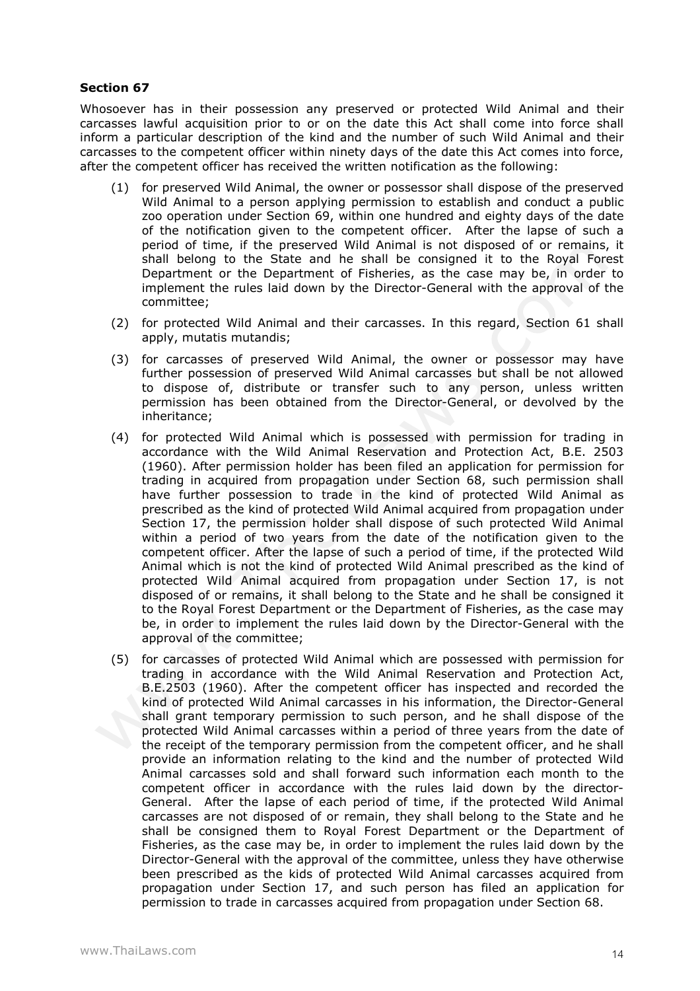## **Section 67**

Whosoever has in their possession any preserved or protected Wild Animal and their carcasses lawful acquisition prior to or on the date this Act shall come into force shall inform a particular description of the kind and the number of such Wild Animal and their carcasses to the competent officer within ninety days of the date this Act comes into force, after the competent officer has received the written notification as the following:

- (1) for preserved Wild Animal, the owner or possessor shall dispose of the preserved Wild Animal to a person applying permission to establish and conduct a public zoo operation under Section 69, within one hundred and eighty days of the date of the notification given to the competent officer. After the lapse of such a period of time, if the preserved Wild Animal is not disposed of or remains, it shall belong to the State and he shall be consigned it to the Royal Forest Department or the Department of Fisheries, as the case may be, in order to implement the rules laid down by the Director-General with the approval of the committee;
- (2) for protected Wild Animal and their carcasses. In this regard, Section 61 shall apply, mutatis mutandis;
- (3) for carcasses of preserved Wild Animal, the owner or possessor may have further possession of preserved Wild Animal carcasses but shall be not allowed to dispose of, distribute or transfer such to any person, unless written permission has been obtained from the Director-General, or devolved by the inheritance;
- (4) for protected Wild Animal which is possessed with permission for trading in accordance with the Wild Animal Reservation and Protection Act, B.E. 2503 (1960). After permission holder has been filed an application for permission for trading in acquired from propagation under Section 68, such permission shall have further possession to trade in the kind of protected Wild Animal as prescribed as the kind of protected Wild Animal acquired from propagation under Section 17, the permission holder shall dispose of such protected Wild Animal within a period of two years from the date of the notification given to the competent officer. After the lapse of such a period of time, if the protected Wild Animal which is not the kind of protected Wild Animal prescribed as the kind of protected Wild Animal acquired from propagation under Section 17, is not disposed of or remains, it shall belong to the State and he shall be consigned it to the Royal Forest Department or the Department of Fisheries, as the case may be, in order to implement the rules laid down by the Director-General with the approval of the committee;
- (5) for carcasses of protected Wild Animal which are possessed with permission for trading in accordance with the Wild Animal Reservation and Protection Act, B.E.2503 (1960). After the competent officer has inspected and recorded the kind of protected Wild Animal carcasses in his information, the Director-General shall grant temporary permission to such person, and he shall dispose of the protected Wild Animal carcasses within a period of three years from the date of the receipt of the temporary permission from the competent officer, and he shall provide an information relating to the kind and the number of protected Wild Animal carcasses sold and shall forward such information each month to the competent officer in accordance with the rules laid down by the director-General. After the lapse of each period of time, if the protected Wild Animal carcasses are not disposed of or remain, they shall belong to the State and he shall be consigned them to Royal Forest Department or the Department of Fisheries, as the case may be, in order to implement the rules laid down by the Director-General with the approval of the committee, unless they have otherwise been prescribed as the kids of protected Wild Animal carcasses acquired from propagation under Section 17, and such person has filed an application for permission to trade in carcasses acquired from propagation under Section 68.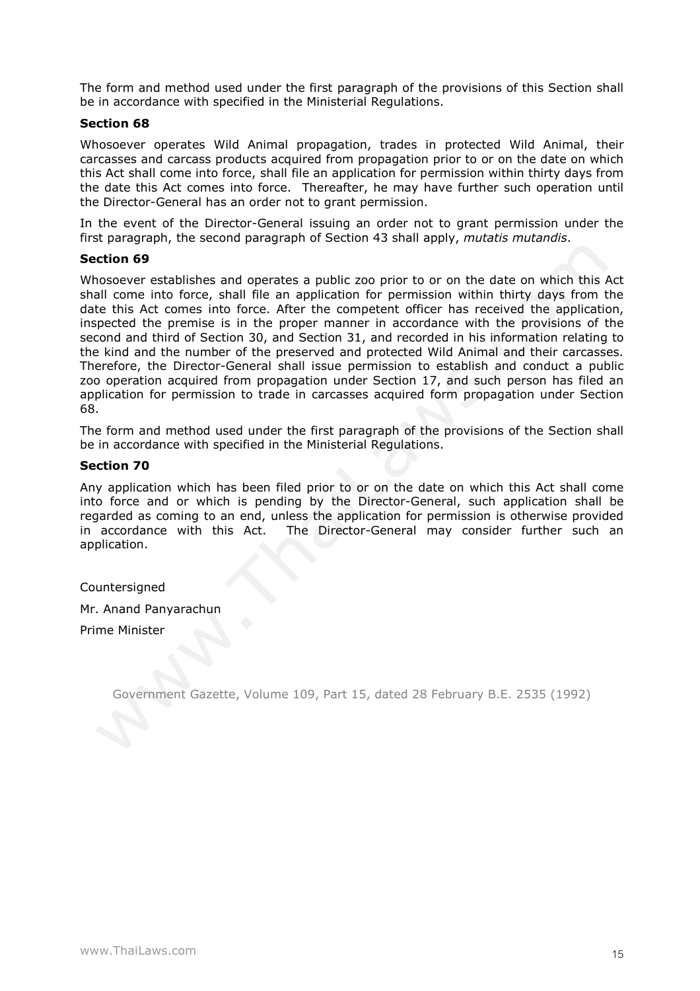The form and method used under the first paragraph of the provisions of this Section shall be in accordance with specified in the Ministerial Regulations.

## **Section 68**

Whosoever operates Wild Animal propagation, trades in protected Wild Animal, their carcasses and carcass products acquired from propagation prior to or on the date on which this Act shall come into force, shall file an application for permission within thirty days from the date this Act comes into force. Thereafter, he may have further such operation until the Director-General has an order not to grant permission.

In the event of the Director-General issuing an order not to grant permission under the first paragraph, the second paragraph of Section 43 shall apply, *mutatis mutandis*.

# **Section 69**

Whosoever establishes and operates a public zoo prior to or on the date on which this Act shall come into force, shall file an application for permission within thirty days from the date this Act comes into force. After the competent officer has received the application, inspected the premise is in the proper manner in accordance with the provisions of the second and third of Section 30, and Section 31, and recorded in his information relating to the kind and the number of the preserved and protected Wild Animal and their carcasses. Therefore, the Director-General shall issue permission to establish and conduct a public zoo operation acquired from propagation under Section 17, and such person has filed an application for permission to trade in carcasses acquired form propagation under Section 68.

The form and method used under the first paragraph of the provisions of the Section shall be in accordance with specified in the Ministerial Regulations.

# **Section 70**

Any application which has been filed prior to or on the date on which this Act shall come into force and or which is pending by the Director-General, such application shall be regarded as coming to an end, unless the application for permission is otherwise provided in accordance with this Act. The Director-General may consider further such an application.

**Countersigned** 

Mr. Anand Panyarachun

Prime Minister

Government Gazette, Volume 109, Part 15, dated 28 February B.E. 2535 (1992)